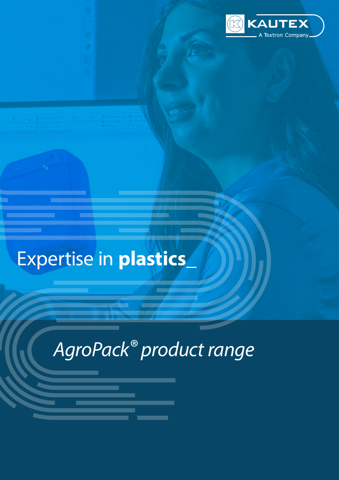

## Expertise in **plastics\_**

# *AgroPack® product range*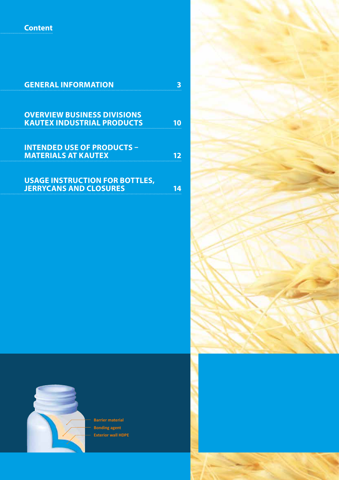**Content**

| <b>GENERAL INFORMATION</b>            |  |
|---------------------------------------|--|
|                                       |  |
|                                       |  |
| <b>OVERVIEW BUSINESS DIVISIONS</b>    |  |
| <b>KAUTEX INDUSTRIAL PRODUCTS</b>     |  |
|                                       |  |
|                                       |  |
| <b>INTENDED USE OF PRODUCTS -</b>     |  |
| <b>MATERIALS AT KAUTEX</b>            |  |
|                                       |  |
|                                       |  |
| <b>USAGE INSTRUCTION FOR BOTTLES,</b> |  |
| <b>JERRYCANS AND CLOSURES</b>         |  |
|                                       |  |





**Barrier material Bonding agent Exterior wall HDPE**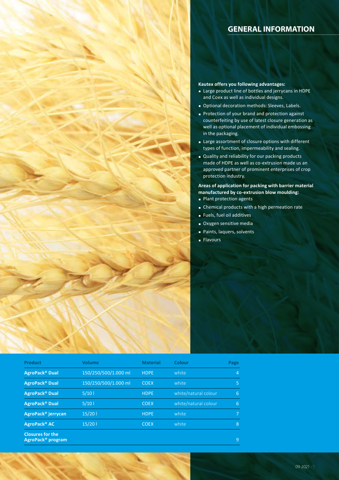### **GENERAL INFORMATION**

#### **Kautex offers you following advantages:**

- § Large product line of bottles and jerrycans in HDPE and Coex as well as individual designs.
- Optional decoration methods: Sleeves, Labels.
- Protection of your brand and protection against counterfeiting by use of latest closure generation as well as optional placement of individual embossing in the packaging.
- **Example 2** Large assortment of closure options with different types of function, impermeability and sealing.
- § Quality and reliability for our packing products made of HDPE as well as co-extrusion made us an approved partner of prominent enterprises of crop protection industry.

**Areas of application for packing with barrier material manufactured by co-extrusion blow moulding:** § Plant protection agents

- 
- Chemical products with a high permeation rate
- § Fuels, fuel oil additives
- Oxygen sensitive media
- § Paints, laquers, solvents
- Flavours

| <b>Product</b>                                           | Volume               | <b>Material</b> | Colour               | Page           |
|----------------------------------------------------------|----------------------|-----------------|----------------------|----------------|
| AgroPack <sup>®</sup> Dual                               | 150/250/500/1.000 ml | <b>HDPE</b>     | white                | 4              |
| AgroPack <sup>®</sup> Dual                               | 150/250/500/1.000 ml | <b>COEX</b>     | white                | 5              |
| AgroPack <sup>®</sup> Dual                               | 5/101                | <b>HDPE</b>     | white/natural colour | 6              |
| AgroPack <sup>®</sup> Dual                               | 5/101                | <b>COEX</b>     | white/natural colour | 6              |
| AgroPack <sup>®</sup> jerrycan                           | 15/201               | <b>HDPE</b>     | white                | $\overline{7}$ |
| AgroPack <sup>®</sup> AC                                 | 15/201               | <b>COEX</b>     | white                | 8              |
| <b>Closures for the</b><br>AgroPack <sup>®</sup> program |                      |                 |                      | 9              |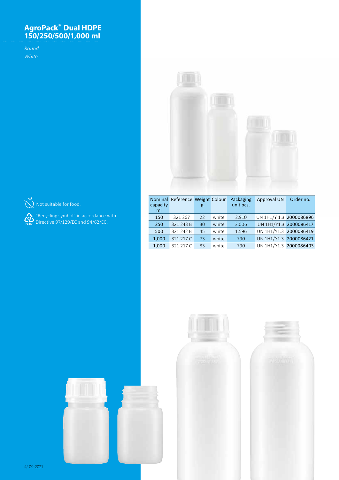### **AgroPack® Dual HDPE 150/250/500/1,000 ml**

*Round White*





 $\bigotimes^{\bullet}$  Not suitable for food.

 "Recycling symbol" in accordance with Directive 97/129/EC and 94/62/EC.

| <b>Nominal</b> | Reference Weight Colour |    |       | Packaging | <b>Approval UN</b>      | Order no. |
|----------------|-------------------------|----|-------|-----------|-------------------------|-----------|
| capacity<br>ml |                         | g  |       | unit pcs. |                         |           |
| 150            | 321 267                 | 22 | white | 2,910     | UN 1H1/Y 1.3 2000086896 |           |
| 250            | 321 243 B               | 30 | white | 3.006     | UN 1H1/Y1.3 2000086417  |           |
| 500            | 321 242 B               | 45 | white | 1,596     | UN 1H1/Y1.3 2000086419  |           |
| 1,000          | 321 217 C               | 73 | white | 790       | UN 1H1/Y1.3 2000086421  |           |
| 1,000          | 321 217 C               | 83 | white | 790       | UN 1H1/Y1.3 2000086403  |           |



4/ 09-2021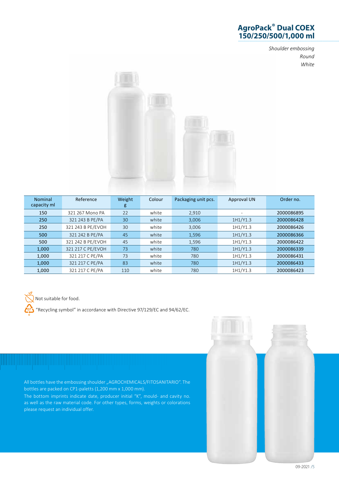## **AgroPack® Dual COEX 150/250/500/1,000 ml**

*Shoulder embossing Round White*



| <b>Nominal</b> | Reference         | Weight | Colour | Packaging unit pcs. | Approval UN | Order no.  |
|----------------|-------------------|--------|--------|---------------------|-------------|------------|
| capacity ml    |                   | g      |        |                     |             |            |
| 150            | 321 267 Mono PA   | 22     | white  | 2,910               | ۰           | 2000086895 |
| 250            | 321 243 B PE/PA   | 30     | white  | 3,006               | 1H1/Y1.3    | 2000086428 |
| 250            | 321 243 B PE/EVOH | 30     | white  | 3,006               | 1H1/Y1.3    | 2000086426 |
| 500            | 321 242 B PE/PA   | 45     | white  | 1,596               | 1H1/Y1.3    | 2000086366 |
| 500            | 321 242 B PE/EVOH | 45     | white  | 1,596               | 1H1/Y1.3    | 2000086422 |
| 1,000          | 321 217 C PE/EVOH | 73     | white  | 780                 | 1H1/Y1.3    | 2000086339 |
| 1,000          | 321 217 C PE/PA   | 73     | white  | 780                 | 1H1/Y1.3    | 2000086431 |
| 1,000          | 321 217 C PE/PA   | 83     | white  | 780                 | 1H1/Y1.3    | 2000086433 |
| 1,000          | 321 217 C PE/PA   | 110    | white  | 780                 | 1H1/Y1.3    | 2000086423 |

Not suitable for food.

"Recycling symbol" in accordance with Directive 97/129/EC and 94/62/EC.

All bottles have the embossing shoulder "AGROCHEMICALS/FITOSANITARIO". The bottles are packed on CP1-paletts (1,200 mm x 1,000 mm).

The bottom imprints indicate date, producer initial "K", mould- and cavity no. as well as the raw material code. For other types, forms, weights or colorations please request an individual offer.

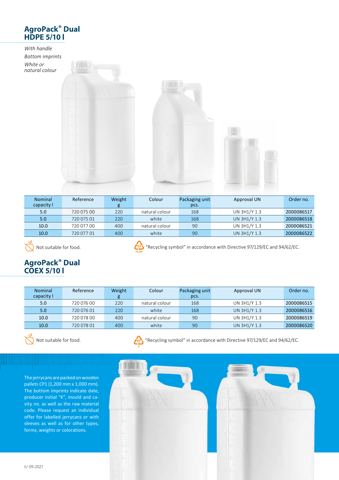

| <b>Nominal</b><br>capacity I | Reference  | Weight | Colour         | Packaging unit | Approval UN  | Order no.  |
|------------------------------|------------|--------|----------------|----------------|--------------|------------|
|                              |            | g      |                | pcs.           |              |            |
| 5.0                          | 720 075 00 | 220    | natural colour | 168            | UN 3H1/Y 1.3 | 2000086517 |
| 5.0                          | 720 075 01 | 220    | white          | 168            | UN 3H1/Y 1.3 | 2000086518 |
| 10.0                         | 720 077 00 | 400    | natural colour | 90             | UN 3H1/Y 1.3 | 2000086521 |
| 10.0                         | 720 077 01 | 400    | white          | 90             | UN 3H1/Y 1.3 | 2000086522 |

 $\bigotimes^{\infty}$  Not suitable for food.



**COM** "Recycling symbol" in accordance with Directive 97/129/EC and 94/62/EC.

## **AgroPack® Dual COEX 5/10 l**

| <b>Nominal</b> | Reference  | Weight | Colour         | Packaging unit | Approval UN  | Order no.  |
|----------------|------------|--------|----------------|----------------|--------------|------------|
| capacity l     |            | g      |                | pcs.           |              |            |
| 5.0            | 720 076 00 | 220    | natural colour | 168            | UN 3H1/Y 1.3 | 2000086515 |
| 5.0            | 720 076 01 | 220    | white          | 168            | UN 3H1/Y 1.3 | 2000086516 |
| 10.0           | 720 078 00 | 400    | natural colour | 90             | UN 3H1/Y 1.3 | 2000086519 |
| 10.0           | 720 078 01 | 400    | white          | 90             | UN 3H1/Y 1.3 | 2000086520 |



Not suitable for food.



"Recycling symbol" in accordance with Directive 97/129/EC and 94/62/EC.

The jerrycans are packed on wooden pallets CP1 (1,200 mm x 1,000 mm). The bottom imprints indicate date, producer initial "K", mould and cavity no. as well as the raw material code. Please request an individual offer for labelled jerrycans or with sleeves as well as for other types, forms, weights or colorations.

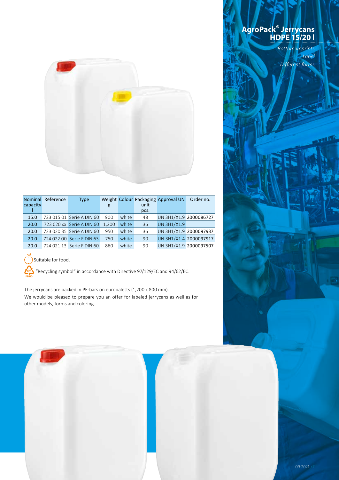

|          | Nominal Reference | Type                      |       |       |      | Weight Colour Packaging Approval UN | Order no. |
|----------|-------------------|---------------------------|-------|-------|------|-------------------------------------|-----------|
| capacity |                   |                           | g     |       | unit |                                     |           |
|          |                   |                           |       |       | pcs. |                                     |           |
| 15.0     |                   | 723 015 01 Serie A DIN 60 | 900   | white | 48   | UN 3H1/X1.9 2000086727              |           |
| 20.0     |                   | 723 020 xx Serie A DIN 60 | 1.200 | white | 36   | <b>UN 3H1/X1.9</b>                  |           |
| 20.0     |                   | 723 020 35 Serie A DIN 60 | 950   | white | 36   | UN 3H1/X1.9 2000097937              |           |
| 20.0     |                   | 724 022 00 Serie F DIN 63 | 750   | white | 90   | UN 3H1/X1.4 2000097917              |           |
| 20.0     |                   | 724 021 13 Serie F DIN 60 | 860   | white | 90   | UN 3H1/X1.9 2000097507              |           |



Suitable for food.

"Recycling symbol" in accordance with Directive 97/129/EC and 94/62/EC.

The jerrycans are packed in PE-bars on europaletts (1,200 x 800 mm). We would be pleased to prepare you an offer for labeled jerrycans as well as for other models, forms and coloring.

### **AgroPack® Jerrycans HDPE 15/20 l**

*Bottom imprints Label Different forms*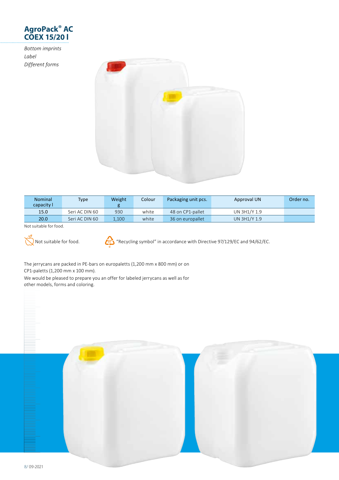

*Bottom imprints Label Different forms*



| <b>Nominal</b><br>capacity l | <b>Type</b>    | Weight | Colour | Packaging unit pcs. | Approval UN  | Order no. |
|------------------------------|----------------|--------|--------|---------------------|--------------|-----------|
| 15.0                         | Seri AC DIN 60 | 930    | white  | 48 on CP1-pallet    | UN 3H1/Y 1.9 |           |
| 20.0                         | Seri AC DIN 60 | 1.100  | white  | 36 on europallet    | UN 3H1/Y 1.9 |           |

Not suitable for food.



"Recycling symbol" in accordance with Directive 97/129/EC and 94/62/EC.

The jerrycans are packed in PE-bars on europaletts (1,200 mm x 800 mm) or on CP1-paletts (1,200 mm x 100 mm).

We would be pleased to prepare you an offer for labeled jerrycans as well as for other models, forms and coloring.

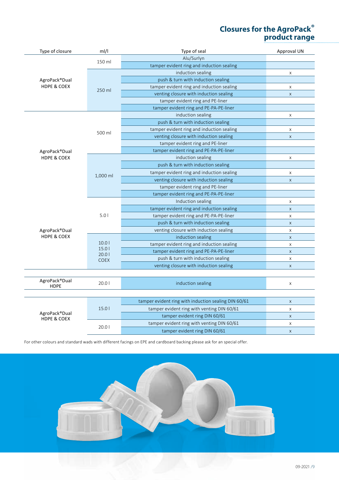## **Closures for the AgroPack® product range**

| Type of closure                         | ml/l           | Type of seal                                         | Approval UN    |
|-----------------------------------------|----------------|------------------------------------------------------|----------------|
|                                         | 150 ml         | Alu/Surlyn                                           |                |
|                                         |                | tamper evident ring and induction sealing            |                |
|                                         |                | induction sealing                                    | $\pmb{\times}$ |
| AgroPack®Dual                           |                | push & turn with induction sealing                   |                |
| <b>HDPE &amp; COEX</b>                  | 250 ml         | tamper evident ring and induction sealing            | X              |
|                                         |                | venting closure with induction sealing               | $\mathsf{X}$   |
|                                         |                | tamper evident ring and PE-liner                     |                |
|                                         |                | tamper evident ring and PE-PA-PE-liner               |                |
|                                         |                | induction sealing                                    | $\mathsf X$    |
|                                         |                | push & turn with induction sealing                   |                |
|                                         | 500 ml         | tamper evident ring and induction sealing            | X              |
|                                         |                | venting closure with induction sealing               | $\mathsf X$    |
|                                         |                | tamper evident ring and PE-liner                     |                |
| AgroPack®Dual                           |                | tamper evident ring and PE-PA-PE-liner               |                |
| HDPE & COEX                             |                | induction sealing                                    | $\pmb{\times}$ |
|                                         |                | push & turn with induction sealing                   |                |
|                                         | 1,000 ml       | tamper evident ring and induction sealing            | $\pmb{\times}$ |
|                                         |                | venting closure with induction sealing               | $\pmb{\times}$ |
|                                         |                | tamper evident ring and PE-liner                     |                |
|                                         |                | tamper evident ring and PE-PA-PE-liner               |                |
|                                         | 5.01           | Induction sealing                                    | X              |
|                                         |                | tamper evident ring and induction sealing            | $\mathsf X$    |
|                                         |                | tamper evident ring and PE-PA-PE-liner               | $\pmb{\times}$ |
|                                         |                | push & turn with induction sealing                   | $\mathsf X$    |
| AgroPack®Dual                           |                | venting closure with induction sealing               | X              |
| <b>HDPE &amp; COEX</b>                  | 10.01          | induction sealing                                    | $\mathsf X$    |
|                                         |                | tamper evident ring and induction sealing            | $\mathsf X$    |
|                                         | 15.01<br>20.01 | tamper evident ring and PE-PA-PE-liner               | $\mathsf X$    |
|                                         | <b>COEX</b>    | push & turn with induction sealing                   | $\mathsf X$    |
|                                         |                | venting closure with induction sealing               | $\mathsf X$    |
|                                         |                |                                                      |                |
| AgroPack®Dual                           | 20.01          | induction sealing                                    | X              |
| <b>HDPE</b>                             |                |                                                      |                |
|                                         |                |                                                      |                |
|                                         |                | tamper evident ring with induction sealing DIN 60/61 | $\mathsf X$    |
|                                         | 15.01          | tamper evident ring with venting DIN 60/61           | X              |
| AgroPack®Dual<br><b>HDPE &amp; COEX</b> |                | tamper evident ring DIN 60/61                        | $\mathsf X$    |
|                                         |                | tamper evident ring with venting DIN 60/61           | $\mathsf X$    |
|                                         | 20.01          | tamper evident ring DIN 60/61                        | $\pmb{\times}$ |

For other colours and standard wads with different facings on EPE and cardboard backing please ask for an special offer.

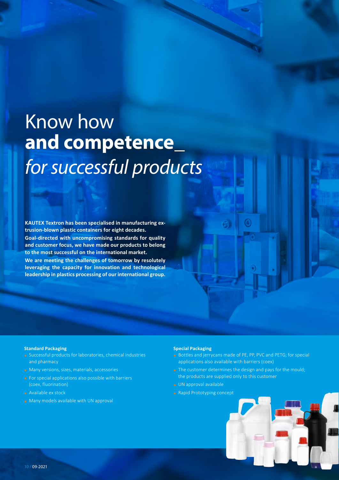## Know how **and competence\_** *for successful products*

**KAUTEX Textron has been specialised in manufacturing extrusion-blown plastic containers for eight decades. Goal-directed with uncompromising standards for quality and customer focus, we have made our products to belong to the most successful on the international market. We are meeting the challenges of tomorrow by resolutely leveraging the capacity for innovation and technological** 

**leadership in plastics processing of our international group.**

#### **Standard Packaging**

- § Successful products for laboratories, chemical industries and pharmacy
- Many versions, sizes, materials, accessories
- **Exercial applications also possible with barriers** (coex, fluorination)
- Available ex stock
- **Many models available with UN approval**

#### **Special Packaging**

- Bottles and jerrycans made of PE, PP, PVC and PETG; for special applications also available with barriers (coex)
- **•** The customer determines the design and pays for the mould; the products are supplied only to this customer
- **UN approval available**
- § Rapid Prototyping concept

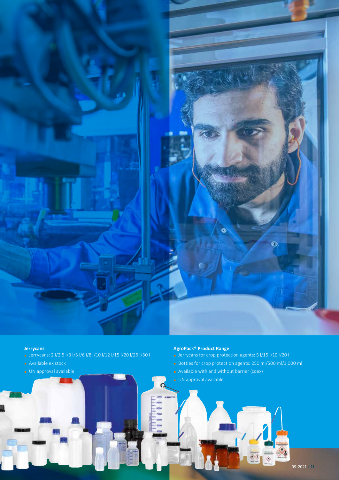

#### **Jerrycans**

- § Jerrycans: 2 l/2.5 l/3 l/5 l/6 l/8 l/10 l/12 l/15 l/20 l/25 l/30 l
- § Available ex stock
- § UN approval available

#### **AgroPack® Product Range**

- § Jerrycans for crop protection agents: 5 l/15 l/10 l/20 l
- § Bottles for crop protection agents: 250 ml/500 ml/1,000 ml
- **•** Available with and without barrier (coex)

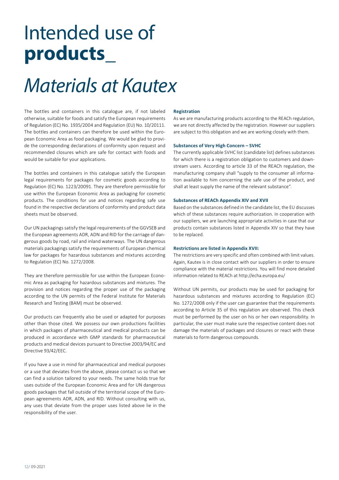## Intended use of **products\_**

## *Materials at Kautex*

The bottles and containers in this catalogue are, if not labeled otherwise, suitable for foods and satisfy the European requirements of Regulation (EC) No. 1935/2004 and Regulation (EU) No. 10/20111. The bottles and containers can therefore be used within the European Economic Area as food packaging. We would be glad to provide the corresponding declarations of conformity upon request and recommended closures which are safe for contact with foods and would be suitable for your applications.

The bottles and containers in this catalogue satisfy the European legal requirements for packages for cosmetic goods according to Regulation (EC) No. 1223/20091. They are therefore permissible for use within the European Economic Area as packaging for cosmetic products. The conditions for use and notices regarding safe use found in the respective declarations of conformity and product data sheets must be observed.

Our UN packagings satisfy the legal requirements of the GGVSEB and the European agreements ADR, ADN and RID for the carriage of dangerous goods by road, rail and inland waterways. The UN dangerous materials packagings satisfy the requirements of European chemical law for packages for hazardous substances and mixtures according to Regulation (EC) No. 1272/2008.

They are therefore permissible for use within the European Economic Area as packaging for hazardous substances and mixtures. The provision and notices regarding the proper use of the packaging according to the UN permits of the Federal Institute for Materials Research and Testing (BAM) must be observed.

Our products can frequently also be used or adapted for purposes other than those cited. We possess our own productions facilities in which packages of pharmaceutical and medical products can be produced in accordance with GMP standards for pharmaceutical products and medical devices pursuant to Directive 2003/94/EC and Directive 93/42/EEC.

If you have a use in mind for pharmaceutical and medical purposes or a use that deviates from the above, please contact us so that we can find a solution tailored to your needs. The same holds true for uses outside of the European Economic Area and for UN dangerous goods packages that fall outside of the territorial scope of the European agreements ADR, ADN, and RID. Without consulting with us, any uses that deviate from the proper uses listed above lie in the responsibility of the user.

#### **Registration**

As we are manufacturing products according to the REACh regulation, we are not directly affected by the registration. However our suppliers are subject to this obligation and we are working closely with them.

#### **Substances of Very High Concern – SVHC**

The currently applicable SVHC list (candidate list) defines substances for which there is a registration obligation to customers and downstream users. According to article 33 of the REACh regulation, the manufacturing company shall "supply to the consumer all information available to him concerning the safe use of the product, and shall at least supply the name of the relevant substance".

#### **Substances of REACh Appendix XIV and XVII**

Based on the substances defined in the candidate list, the EU discusses which of these substances require authorization. In cooperation with our suppliers, we are launching appropriate activities in case that our products contain substances listed in Appendix XIV so that they have to be replaced.

#### **Restrictions are listed in Appendix XVII:**

The restrictions are very specific and often combined with limit values. Again, Kautex is in close contact with our suppliers in order to ensure compliance with the material restrictions. You will find more detailed information related to REACh at http://echa.europa.eu/

Without UN permits, our products may be used for packaging for hazardous substances and mixtures according to Regulation (EC) No. 1272/2008 only if the user can guarantee that the requirements according to Article 35 of this regulation are observed. This check must be performed by the user on his or her own responsibility. In particular, the user must make sure the respective content does not damage the materials of packages and closures or react with these materials to form dangerous compounds.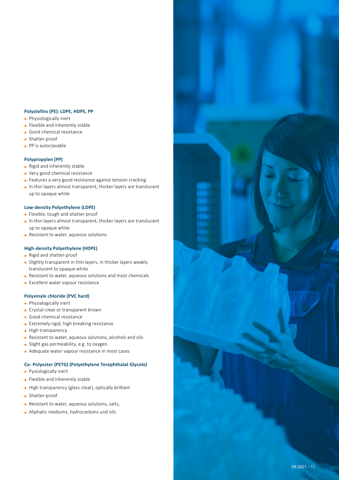#### **Polyolefins (PE): LDPE, HDPE, PP**

- **•** Physiologically inert
- **•** Flexible and inherently stable
- § Good chemical resistance
- § Shatter-proof
- PP is autoclavable

#### **Polypropylen (PP)**

- § Rigid and inherently stable
- Very good chemical resistance
- Features a very good resistance against tension cracking
- In thin layers almost transparent, thicker layers are translucent up to opaque white

#### **Low-density Polyethylene (LDPE)**

- § Flexible, tough and shatter-proof
- In thin layers almost transparent, thicker layers are translucent up to opaque white
- Resistant to water, aqueous solutions

#### **High-density Polyethylene (HDPE)**

- § Rigid and shatter-proof
- **•** Slightly transparent in thin layers, in thicker layers weakly translucent to opaque white
- Resistant to water, aqueous solutions and most chemicals
- § Excellent water vapour resistance

#### **Polyvinyle chloride (PVC hard)**

- **•** Physialogically inert
- Crystal-clear or transparent brown
- § Good chemical resistance
- **Extremely rigid, high breaking resistance**
- High transparency
- Resistant to water, aqueous solutions, alcohols and oils
- § Slight gas permeability, e.g. to oxygen
- Adequate water vapour resistance in most cases

#### **Co- Polyester (PETG) (Polyethylene Terephthalat Glycole)**

- **•** Pysiologically inert
- § Flexible and inherently stable
- High transparency (glass-clear), optically brilliant
- § Shatter-proof
- Resistant to water, aqueous solutions, salts,
- **Aliphatic mediums, hydrocarbons und oils**

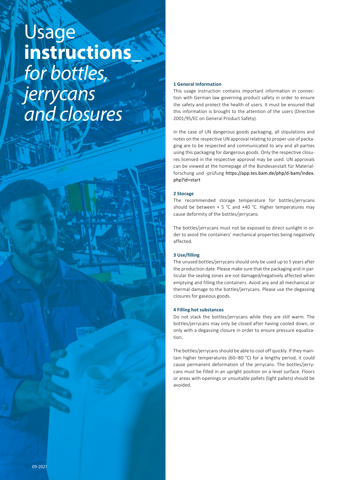## Usage **instructions\_**  *for bottles, jerrycans and closures*

#### **1 General Information**

This usage instruction contains important information in connection with German law governing product safety in order to ensure the safety and protect the health of users. It must be ensured that this information is brought to the attention of the users (Directive 2001/95/EC on General Product Safety).

In the case of UN dangerous goods packaging, all stipulations and notes on the respective UN approval relating to proper use of packaging are to be respected and communicated to any and all parties using this packaging for dangerous goods. Only the respective closures licensed in the respective approval may be used. UN approvals can be viewed at the homepage of the Bundesanstalt für Materialforschung und -prüfung https://app.tes.bam.de/php/d-bam/index. php?id=start

#### **2 Storage**

The recommended storage temperature for bottles/jerrycans should be between  $+ 5$  °C and  $+40$  °C. Higher temperatures may cause deformity of the bottles/jerrycans.

The bottles/jerrycans must not be exposed to direct sunlight in order to avoid the containers' mechanical properties being negatively affected.

#### **3 Use/filling**

The unused bottles/jerrycans should only be used up to 5 years after the production date. Please make sure that the packaging and in particular the sealing zones are not damaged/negatively affected when emptying and filling the containers. Avoid any and all mechanical or thermal damage to the bottles/jerrycans. Please use the degassing closures for gaseous goods.

#### **4 Filling hot substances**

Do not stack the bottles/jerrycans while they are still warm. The bottles/jerrycans may only be closed after having cooled down, or only with a degassing closure in order to ensure pressure equalization.

The bottles/jerrycans should be able to cool off quickly. If they maintain higher temperatures (60–80 °C) for a lengthy period, it could cause permanent deformation of the jerrycans. The bottles/jerrycans must be filled in an upright position on a level surface. Floors or areas with openings or unsuitable pallets (light pallets) should be avoided.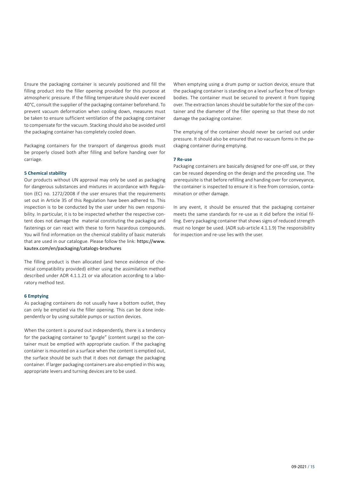Ensure the packaging container is securely positioned and fill the filling product into the filler opening provided for this purpose at atmospheric pressure. If the filling temperature should ever exceed 40°C, consult the supplier of the packaging container beforehand. To prevent vacuum deformation when cooling down, measures must be taken to ensure sufficient ventilation of the packaging container to compensate for the vacuum. Stacking should also be avoided until the packaging container has completely cooled down.

Packaging containers for the transport of dangerous goods must be properly closed both after filling and before handing over for carriage.

#### **5 Chemical stability**

Our products without UN approval may only be used as packaging for dangerous substances and mixtures in accordance with Regulation (EC) no. 1272/2008 if the user ensures that the requirements set out in Article 35 of this Regulation have been adhered to. This inspection is to be conducted by the user under his own responsibility. In particular, it is to be inspected whether the respective content does not damage the material constituting the packaging and fastenings or can react with these to form hazardous compounds. You will find information on the chemical stability of basic materials that are used in our catalogue. Please follow the link: https://www. kautex.com/en/packaging/catalogs-brochures

The filling product is then allocated (and hence evidence of chemical compatibility provided) either using the assimilation method described under ADR 4.1.1.21 or via allocation according to a laboratory method test.

#### **6 Emptying**

As packaging containers do not usually have a bottom outlet, they can only be emptied via the filler opening. This can be done independently or by using suitable pumps or suction devices.

When the content is poured out independently, there is a tendency for the packaging container to "gurgle" (content surge) so the container must be emptied with appropriate caution. If the packaging container is mounted on a surface when the content is emptied out, the surface should be such that it does not damage the packaging container. If larger packaging containers are also emptied in this way, appropriate levers and turning devices are to be used.

When emptying using a drum pump or suction device, ensure that the packaging container is standing on a level surface free of foreign bodies. The container must be secured to prevent it from tipping over. The extraction lances should be suitable for the size of the container and the diameter of the filler opening so that these do not damage the packaging container.

The emptying of the container should never be carried out under pressure. It should also be ensured that no vacuum forms in the packaging container during emptying.

#### **7 Re-use**

Packaging containers are basically designed for one-off use, or they can be reused depending on the design and the preceding use. The prerequisite is that before refilling and handing over for conveyance, the container is inspected to ensure it is free from corrosion, contamination or other damage.

In any event, it should be ensured that the packaging container meets the same standards for re-use as it did before the initial filling. Every packaging container that shows signs of reduced strength must no longer be used. (ADR sub-article 4.1.1.9) The responsibility for inspection and re-use lies with the user.